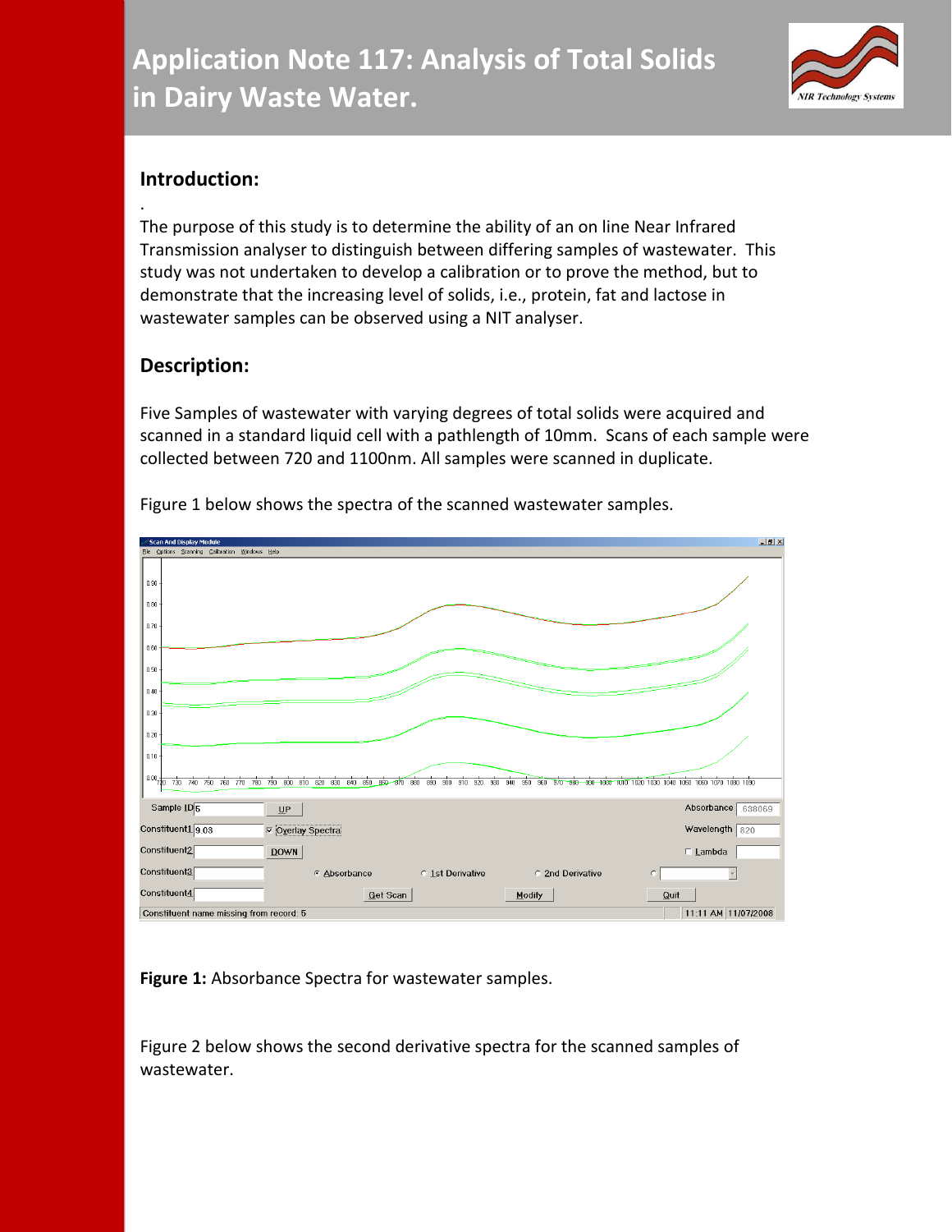

## **Introduction:**

.

The purpose of this study is to determine the ability of an on line Near Infrared Transmission analyser to distinguish between differing samples of wastewater. This study was not undertaken to develop a calibration or to prove the method, but to demonstrate that the increasing level of solids, i.e., protein, fat and lactose in wastewater samples can be observed using a NIT analyser.

## **Description:**

Five Samples of wastewater with varying degrees of total solids were acquired and scanned in a standard liquid cell with a pathlength of 10mm. Scans of each sample were collected between 720 and 1100nm. All samples were scanned in duplicate.



Figure 1 below shows the spectra of the scanned wastewater samples.

**Figure 1:** Absorbance Spectra for wastewater samples.

Figure 2 below shows the second derivative spectra for the scanned samples of wastewater.